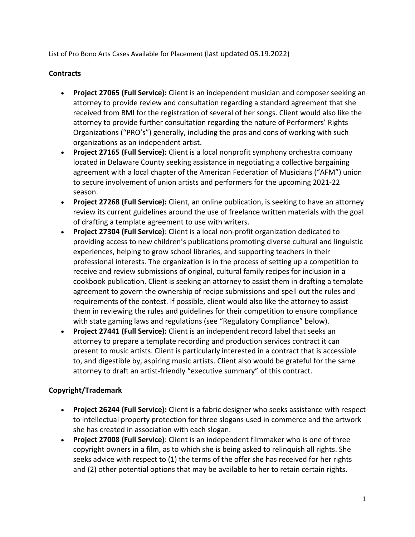List of Pro Bono Arts Cases Available for Placement (last updated 05.19.2022)

## **Contracts**

- **Project 27065 (Full Service):** Client is an independent musician and composer seeking an attorney to provide review and consultation regarding a standard agreement that she received from BMI for the registration of several of her songs. Client would also like the attorney to provide further consultation regarding the nature of Performers' Rights Organizations ("PRO's") generally, including the pros and cons of working with such organizations as an independent artist.
- **Project 27165 (Full Service):** Client is a local nonprofit symphony orchestra company located in Delaware County seeking assistance in negotiating a collective bargaining agreement with a local chapter of the American Federation of Musicians ("AFM") union to secure involvement of union artists and performers for the upcoming 2021-22 season.
- **Project 27268 (Full Service):** Client, an online publication, is seeking to have an attorney review its current guidelines around the use of freelance written materials with the goal of drafting a template agreement to use with writers.
- **Project 27304 (Full Service)**: Client is a local non-profit organization dedicated to providing access to new children's publications promoting diverse cultural and linguistic experiences, helping to grow school libraries, and supporting teachers in their professional interests. The organization is in the process of setting up a competition to receive and review submissions of original, cultural family recipes for inclusion in a cookbook publication. Client is seeking an attorney to assist them in drafting a template agreement to govern the ownership of recipe submissions and spell out the rules and requirements of the contest. If possible, client would also like the attorney to assist them in reviewing the rules and guidelines for their competition to ensure compliance with state gaming laws and regulations (see "Regulatory Compliance" below).
- **Project 27441 (Full Service):** Client is an independent record label that seeks an attorney to prepare a template recording and production services contract it can present to music artists. Client is particularly interested in a contract that is accessible to, and digestible by, aspiring music artists. Client also would be grateful for the same attorney to draft an artist-friendly "executive summary" of this contract.

## **Copyright/Trademark**

- **Project 26244 (Full Service):** Client is a fabric designer who seeks assistance with respect to intellectual property protection for three slogans used in commerce and the artwork she has created in association with each slogan.
- **Project 27008 (Full Service)**: Client is an independent filmmaker who is one of three copyright owners in a film, as to which she is being asked to relinquish all rights. She seeks advice with respect to (1) the terms of the offer she has received for her rights and (2) other potential options that may be available to her to retain certain rights.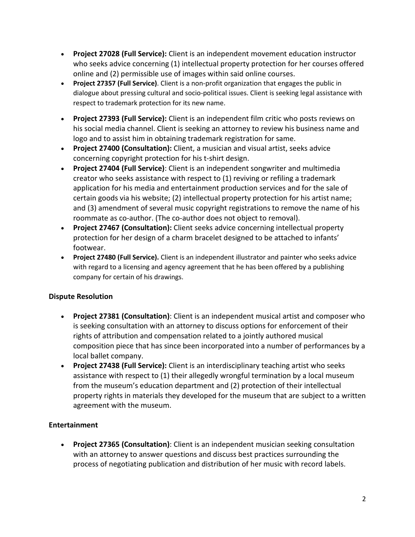- **Project 27028 (Full Service):** Client is an independent movement education instructor who seeks advice concerning (1) intellectual property protection for her courses offered online and (2) permissible use of images within said online courses.
- **Project 27357 (Full Service)**. Client is a non-profit organization that engages the public in dialogue about pressing cultural and socio-political issues. Client is seeking legal assistance with respect to trademark protection for its new name.
- **Project 27393 (Full Service):** Client is an independent film critic who posts reviews on his social media channel. Client is seeking an attorney to review his business name and logo and to assist him in obtaining trademark registration for same.
- **Project 27400 (Consultation):** Client, a musician and visual artist, seeks advice concerning copyright protection for his t-shirt design.
- **Project 27404 (Full Service)**: Client is an independent songwriter and multimedia creator who seeks assistance with respect to (1) reviving or refiling a trademark application for his media and entertainment production services and for the sale of certain goods via his website; (2) intellectual property protection for his artist name; and (3) amendment of several music copyright registrations to remove the name of his roommate as co-author. (The co-author does not object to removal).
- **Project 27467 (Consultation):** Client seeks advice concerning intellectual property protection for her design of a charm bracelet designed to be attached to infants' footwear.
- **Project 27480 (Full Service).** Client is an independent illustrator and painter who seeks advice with regard to a licensing and agency agreement that he has been offered by a publishing company for certain of his drawings.

## **Dispute Resolution**

- **Project 27381 (Consultation)**: Client is an independent musical artist and composer who is seeking consultation with an attorney to discuss options for enforcement of their rights of attribution and compensation related to a jointly authored musical composition piece that has since been incorporated into a number of performances by a local ballet company.
- **Project 27438 (Full Service):** Client is an interdisciplinary teaching artist who seeks assistance with respect to (1) their allegedly wrongful termination by a local museum from the museum's education department and (2) protection of their intellectual property rights in materials they developed for the museum that are subject to a written agreement with the museum.

# **Entertainment**

• **Project 27365 (Consultation)**: Client is an independent musician seeking consultation with an attorney to answer questions and discuss best practices surrounding the process of negotiating publication and distribution of her music with record labels.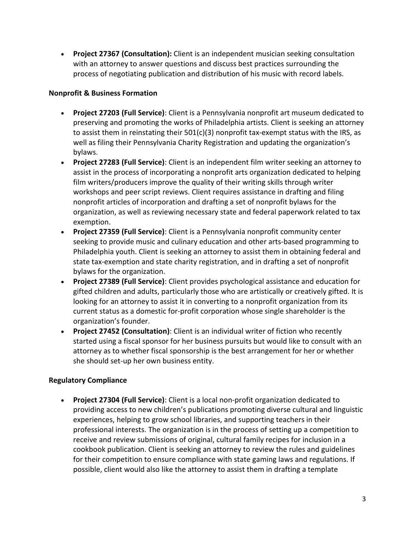• **Project 27367 (Consultation):** Client is an independent musician seeking consultation with an attorney to answer questions and discuss best practices surrounding the process of negotiating publication and distribution of his music with record labels.

#### **Nonprofit & Business Formation**

- **Project 27203 (Full Service)**: Client is a Pennsylvania nonprofit art museum dedicated to preserving and promoting the works of Philadelphia artists. Client is seeking an attorney to assist them in reinstating their  $501(c)(3)$  nonprofit tax-exempt status with the IRS, as well as filing their Pennsylvania Charity Registration and updating the organization's bylaws.
- **Project 27283 (Full Service)**: Client is an independent film writer seeking an attorney to assist in the process of incorporating a nonprofit arts organization dedicated to helping film writers/producers improve the quality of their writing skills through writer workshops and peer script reviews. Client requires assistance in drafting and filing nonprofit articles of incorporation and drafting a set of nonprofit bylaws for the organization, as well as reviewing necessary state and federal paperwork related to tax exemption.
- **Project 27359 (Full Service)**: Client is a Pennsylvania nonprofit community center seeking to provide music and culinary education and other arts-based programming to Philadelphia youth. Client is seeking an attorney to assist them in obtaining federal and state tax-exemption and state charity registration, and in drafting a set of nonprofit bylaws for the organization.
- **Project 27389 (Full Service)**: Client provides psychological assistance and education for gifted children and adults, particularly those who are artistically or creatively gifted. It is looking for an attorney to assist it in converting to a nonprofit organization from its current status as a domestic for-profit corporation whose single shareholder is the organization's founder.
- **Project 27452 (Consultation)**: Client is an individual writer of fiction who recently started using a fiscal sponsor for her business pursuits but would like to consult with an attorney as to whether fiscal sponsorship is the best arrangement for her or whether she should set-up her own business entity.

### **Regulatory Compliance**

• **Project 27304 (Full Service)**: Client is a local non-profit organization dedicated to providing access to new children's publications promoting diverse cultural and linguistic experiences, helping to grow school libraries, and supporting teachers in their professional interests. The organization is in the process of setting up a competition to receive and review submissions of original, cultural family recipes for inclusion in a cookbook publication. Client is seeking an attorney to review the rules and guidelines for their competition to ensure compliance with state gaming laws and regulations. If possible, client would also like the attorney to assist them in drafting a template